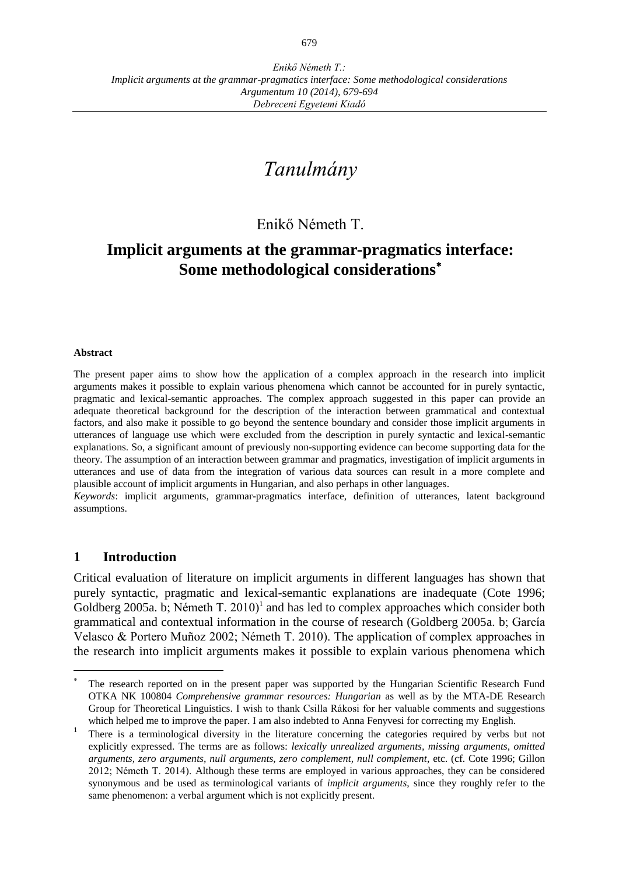# *Tanulmány*

## Enikő Németh T.

## **Implicit arguments at the grammar-pragmatics interface: Some methodological considerations**

#### **Abstract**

The present paper aims to show how the application of a complex approach in the research into implicit arguments makes it possible to explain various phenomena which cannot be accounted for in purely syntactic, pragmatic and lexical-semantic approaches. The complex approach suggested in this paper can provide an adequate theoretical background for the description of the interaction between grammatical and contextual factors, and also make it possible to go beyond the sentence boundary and consider those implicit arguments in utterances of language use which were excluded from the description in purely syntactic and lexical-semantic explanations. So, a significant amount of previously non-supporting evidence can become supporting data for the theory. The assumption of an interaction between grammar and pragmatics, investigation of implicit arguments in utterances and use of data from the integration of various data sources can result in a more complete and plausible account of implicit arguments in Hungarian, and also perhaps in other languages.

*Keywords*: implicit arguments, grammar-pragmatics interface, definition of utterances, latent background assumptions.

#### **1 Introduction**

 $\overline{a}$ 

Critical evaluation of literature on implicit arguments in different languages has shown that purely syntactic, pragmatic and lexical-semantic explanations are inadequate (Cote 1996; Goldberg 2005a. b; Németh T. 2010)<sup>1</sup> and has led to complex approaches which consider both grammatical and contextual information in the course of research (Goldberg 2005a. b; García Velasco & Portero Muñoz 2002; Németh T. 2010). The application of complex approaches in the research into implicit arguments makes it possible to explain various phenomena which

<sup>\*</sup> The research reported on in the present paper was supported by the Hungarian Scientific Research Fund OTKA NK 100804 *Comprehensive grammar resources: Hungarian* as well as by the MTA-DE Research Group for Theoretical Linguistics. I wish to thank Csilla Rákosi for her valuable comments and suggestions which helped me to improve the paper. I am also indebted to Anna Fenyvesi for correcting my English.

<sup>1</sup> There is a terminological diversity in the literature concerning the categories required by verbs but not explicitly expressed. The terms are as follows: *lexically unrealized arguments, missing arguments, omitted arguments, zero arguments, null arguments, zero complement, null complement*, etc. (cf. Cote 1996; Gillon 2012; Németh T. 2014). Although these terms are employed in various approaches, they can be considered synonymous and be used as terminological variants of *implicit arguments*, since they roughly refer to the same phenomenon: a verbal argument which is not explicitly present.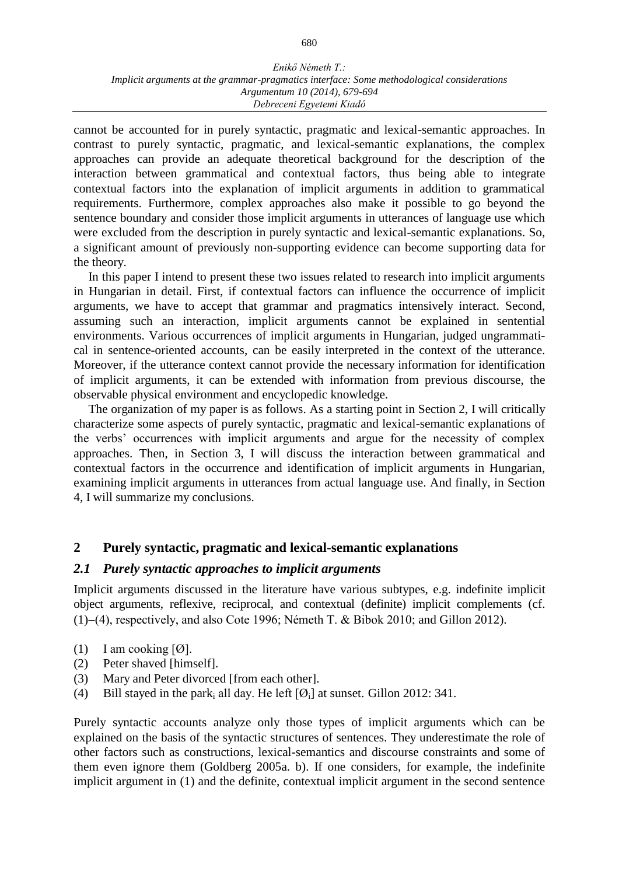#### *Enikő Németh T.: Implicit arguments at the grammar-pragmatics interface: Some methodological considerations Argumentum 10 (2014), 679-694 Debreceni Egyetemi Kiadó*

cannot be accounted for in purely syntactic, pragmatic and lexical-semantic approaches. In contrast to purely syntactic, pragmatic, and lexical-semantic explanations, the complex approaches can provide an adequate theoretical background for the description of the interaction between grammatical and contextual factors, thus being able to integrate contextual factors into the explanation of implicit arguments in addition to grammatical requirements. Furthermore, complex approaches also make it possible to go beyond the sentence boundary and consider those implicit arguments in utterances of language use which were excluded from the description in purely syntactic and lexical-semantic explanations. So, a significant amount of previously non-supporting evidence can become supporting data for the theory.

In this paper I intend to present these two issues related to research into implicit arguments in Hungarian in detail. First, if contextual factors can influence the occurrence of implicit arguments, we have to accept that grammar and pragmatics intensively interact. Second, assuming such an interaction, implicit arguments cannot be explained in sentential environments. Various occurrences of implicit arguments in Hungarian, judged ungrammatical in sentence-oriented accounts, can be easily interpreted in the context of the utterance. Moreover, if the utterance context cannot provide the necessary information for identification of implicit arguments, it can be extended with information from previous discourse, the observable physical environment and encyclopedic knowledge.

The organization of my paper is as follows. As a starting point in Section 2, I will critically characterize some aspects of purely syntactic, pragmatic and lexical-semantic explanations of the verbs' occurrences with implicit arguments and argue for the necessity of complex approaches. Then, in Section 3, I will discuss the interaction between grammatical and contextual factors in the occurrence and identification of implicit arguments in Hungarian, examining implicit arguments in utterances from actual language use. And finally, in Section 4, I will summarize my conclusions.

### **2 Purely syntactic, pragmatic and lexical-semantic explanations**

#### *2.1 Purely syntactic approaches to implicit arguments*

Implicit arguments discussed in the literature have various subtypes, e.g. indefinite implicit object arguments, reflexive, reciprocal, and contextual (definite) implicit complements (cf.  $(1)-(4)$ , respectively, and also Cote 1996; Németh T. & Bibok 2010; and Gillon 2012).

- (1) I am cooking  $[Ø]$ .
- (2) Peter shaved [himself].
- (3) Mary and Peter divorced [from each other].
- (4) Bill stayed in the park<sub>i</sub> all day. He left  $[Ø_i]$  at sunset. Gillon 2012: 341.

Purely syntactic accounts analyze only those types of implicit arguments which can be explained on the basis of the syntactic structures of sentences. They underestimate the role of other factors such as constructions, lexical-semantics and discourse constraints and some of them even ignore them (Goldberg 2005a. b). If one considers, for example, the indefinite implicit argument in (1) and the definite, contextual implicit argument in the second sentence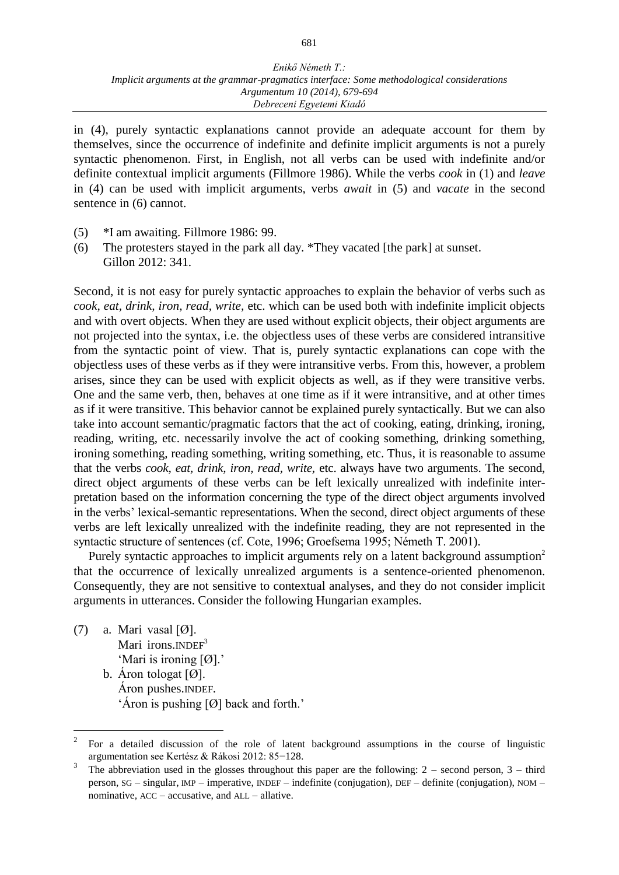in (4), purely syntactic explanations cannot provide an adequate account for them by themselves, since the occurrence of indefinite and definite implicit arguments is not a purely syntactic phenomenon. First, in English, not all verbs can be used with indefinite and/or definite contextual implicit arguments (Fillmore 1986). While the verbs *cook* in (1) and *leave*  in (4) can be used with implicit arguments, verbs *await* in (5) and *vacate* in the second sentence in (6) cannot.

- (5) \*I am awaiting. Fillmore 1986: 99.
- (6) The protesters stayed in the park all day. \*They vacated [the park] at sunset. Gillon 2012: 341.

Second, it is not easy for purely syntactic approaches to explain the behavior of verbs such as *cook, eat, drink, iron, read, write,* etc. which can be used both with indefinite implicit objects and with overt objects. When they are used without explicit objects, their object arguments are not projected into the syntax, i.e. the objectless uses of these verbs are considered intransitive from the syntactic point of view. That is, purely syntactic explanations can cope with the objectless uses of these verbs as if they were intransitive verbs. From this, however, a problem arises, since they can be used with explicit objects as well, as if they were transitive verbs. One and the same verb, then, behaves at one time as if it were intransitive, and at other times as if it were transitive. This behavior cannot be explained purely syntactically. But we can also take into account semantic/pragmatic factors that the act of cooking, eating, drinking, ironing, reading, writing, etc. necessarily involve the act of cooking something, drinking something, ironing something, reading something, writing something, etc. Thus, it is reasonable to assume that the verbs *cook, eat, drink, iron, read, write,* etc. always have two arguments. The second, direct object arguments of these verbs can be left lexically unrealized with indefinite interpretation based on the information concerning the type of the direct object arguments involved in the verbs' lexical-semantic representations. When the second, direct object arguments of these verbs are left lexically unrealized with the indefinite reading, they are not represented in the syntactic structure of sentences (cf. Cote, 1996; Groefsema 1995; Németh T. 2001).

Purely syntactic approaches to implicit arguments rely on a latent background assumption<sup>2</sup> that the occurrence of lexically unrealized arguments is a sentence-oriented phenomenon. Consequently, they are not sensitive to contextual analyses, and they do not consider implicit arguments in utterances. Consider the following Hungarian examples.

(7) a. Mari vasal  $[Ø]$ . Mari irons. $INDEF<sup>3</sup>$ 'Mari is ironing [Ø].' b. Áron tologat [Ø]. Áron pushes.INDEF. 'Áron is pushing [Ø] back and forth.'

 $\frac{1}{2}$ For a detailed discussion of the role of latent background assumptions in the course of linguistic argumentation see Kertész & Rákosi 2012: 85−128.

<sup>3</sup> The abbreviation used in the glosses throughout this paper are the following:  $2 -$  second person,  $3 -$  third person,  $SG - singular$ , IMP  $-$  imperative, INDEF  $-$  indefinite (conjugation), DEF  $-$  definite (conjugation), NOM  $$ nominative,  $ACC - accusative$ , and  $ALL - allative$ .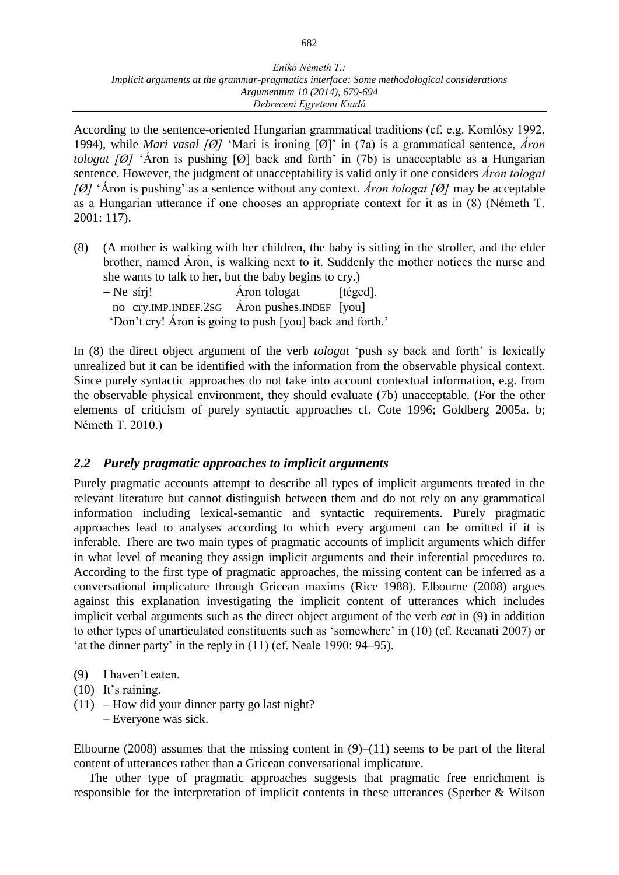According to the sentence-oriented Hungarian grammatical traditions (cf. e.g. Komlósy 1992, 1994), while *Mari vasal [Ø]* 'Mari is ironing [Ø]' in (7a) is a grammatical sentence, *Áron tologat [Ø]* 'Áron is pushing [Ø] back and forth' in (7b) is unacceptable as a Hungarian sentence. However, the judgment of unacceptability is valid only if one considers *Áron tologat [Ø]* 'Áron is pushing' as a sentence without any context. *Áron tologat [Ø]* may be acceptable as a Hungarian utterance if one chooses an appropriate context for it as in (8) (Németh T. 2001: 117).

- (8) (A mother is walking with her children, the baby is sitting in the stroller, and the elder brother, named Áron, is walking next to it. Suddenly the mother notices the nurse and she wants to talk to her, but the baby begins to cry.)
	- $-$  Ne síri!  $\hat{A}$ ron tologat [téged]. no cry.IMP.INDEF.2SG Áron pushes.INDEF [you] 'Don't cry! Áron is going to push [you] back and forth.'

In (8) the direct object argument of the verb *tologat* 'push sy back and forth' is lexically unrealized but it can be identified with the information from the observable physical context. Since purely syntactic approaches do not take into account contextual information, e.g. from the observable physical environment, they should evaluate (7b) unacceptable. (For the other elements of criticism of purely syntactic approaches cf. Cote 1996; Goldberg 2005a. b; Németh T. 2010.)

## *2.2 Purely pragmatic approaches to implicit arguments*

Purely pragmatic accounts attempt to describe all types of implicit arguments treated in the relevant literature but cannot distinguish between them and do not rely on any grammatical information including lexical-semantic and syntactic requirements. Purely pragmatic approaches lead to analyses according to which every argument can be omitted if it is inferable. There are two main types of pragmatic accounts of implicit arguments which differ in what level of meaning they assign implicit arguments and their inferential procedures to. According to the first type of pragmatic approaches, the missing content can be inferred as a conversational implicature through Gricean maxims (Rice 1988). Elbourne (2008) argues against this explanation investigating the implicit content of utterances which includes implicit verbal arguments such as the direct object argument of the verb *eat* in (9) in addition to other types of unarticulated constituents such as 'somewhere' in (10) (cf. Recanati 2007) or 'at the dinner party' in the reply in (11) (cf. Neale 1990: 94‒95).

- (9) I haven't eaten.
- (10) It's raining.
- $(11)$  How did your dinner party go last night?
	- ‒ Everyone was sick.

Elbourne (2008) assumes that the missing content in  $(9)$ –(11) seems to be part of the literal content of utterances rather than a Gricean conversational implicature.

The other type of pragmatic approaches suggests that pragmatic free enrichment is responsible for the interpretation of implicit contents in these utterances (Sperber & Wilson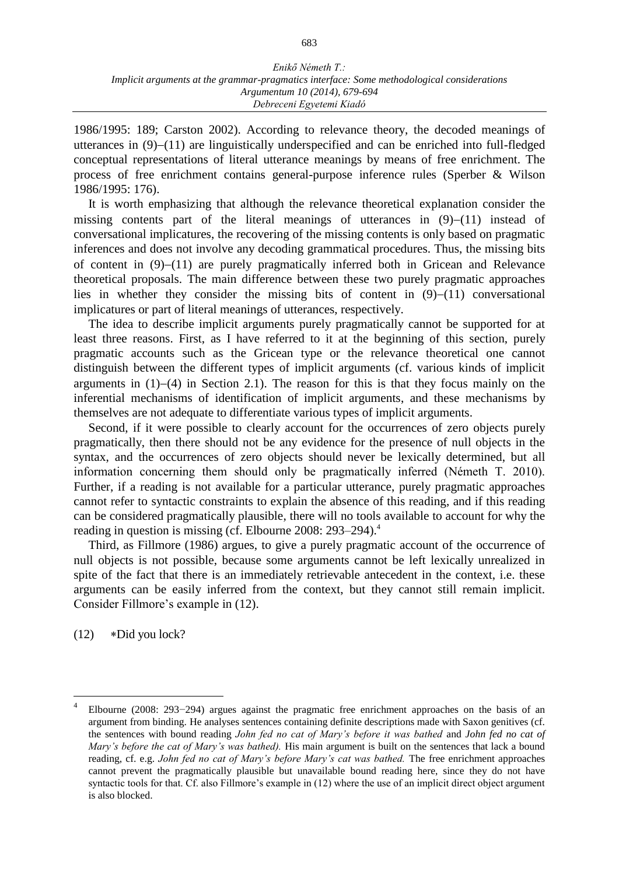1986/1995: 189; Carston 2002). According to relevance theory, the decoded meanings of utterances in  $(9)$ – $(11)$  are linguistically underspecified and can be enriched into full-fledged conceptual representations of literal utterance meanings by means of free enrichment. The process of free enrichment contains general-purpose inference rules (Sperber & Wilson 1986/1995: 176).

It is worth emphasizing that although the relevance theoretical explanation consider the missing contents part of the literal meanings of utterances in  $(9)-(11)$  instead of conversational implicatures, the recovering of the missing contents is only based on pragmatic inferences and does not involve any decoding grammatical procedures. Thus, the missing bits of content in  $(9)$ – $(11)$  are purely pragmatically inferred both in Gricean and Relevance theoretical proposals. The main difference between these two purely pragmatic approaches lies in whether they consider the missing bits of content in  $(9)-(11)$  conversational implicatures or part of literal meanings of utterances, respectively.

The idea to describe implicit arguments purely pragmatically cannot be supported for at least three reasons. First, as I have referred to it at the beginning of this section, purely pragmatic accounts such as the Gricean type or the relevance theoretical one cannot distinguish between the different types of implicit arguments (cf. various kinds of implicit arguments in  $(1)-(4)$  in Section 2.1). The reason for this is that they focus mainly on the inferential mechanisms of identification of implicit arguments, and these mechanisms by themselves are not adequate to differentiate various types of implicit arguments.

Second, if it were possible to clearly account for the occurrences of zero objects purely pragmatically, then there should not be any evidence for the presence of null objects in the syntax, and the occurrences of zero objects should never be lexically determined, but all information concerning them should only be pragmatically inferred (Németh T. 2010). Further, if a reading is not available for a particular utterance, purely pragmatic approaches cannot refer to syntactic constraints to explain the absence of this reading, and if this reading can be considered pragmatically plausible, there will no tools available to account for why the reading in question is missing (cf. Elbourne 2008:  $293-294$ )<sup>4</sup>

Third, as Fillmore (1986) argues, to give a purely pragmatic account of the occurrence of null objects is not possible, because some arguments cannot be left lexically unrealized in spite of the fact that there is an immediately retrievable antecedent in the context, i.e. these arguments can be easily inferred from the context, but they cannot still remain implicit. Consider Fillmore's example in (12).

 $(12)$  \*Did you lock?

<sup>4</sup> Elbourne (2008: 293−294) argues against the pragmatic free enrichment approaches on the basis of an argument from binding. He analyses sentences containing definite descriptions made with Saxon genitives (cf. the sentences with bound reading *John fed no cat of Mary's before it was bathed* and *John fed no cat of Mary's before the cat of Mary's was bathed).* His main argument is built on the sentences that lack a bound reading, cf. e.g. *John fed no cat of Mary's before Mary's cat was bathed.* The free enrichment approaches cannot prevent the pragmatically plausible but unavailable bound reading here, since they do not have syntactic tools for that. Cf. also Fillmore's example in (12) where the use of an implicit direct object argument is also blocked.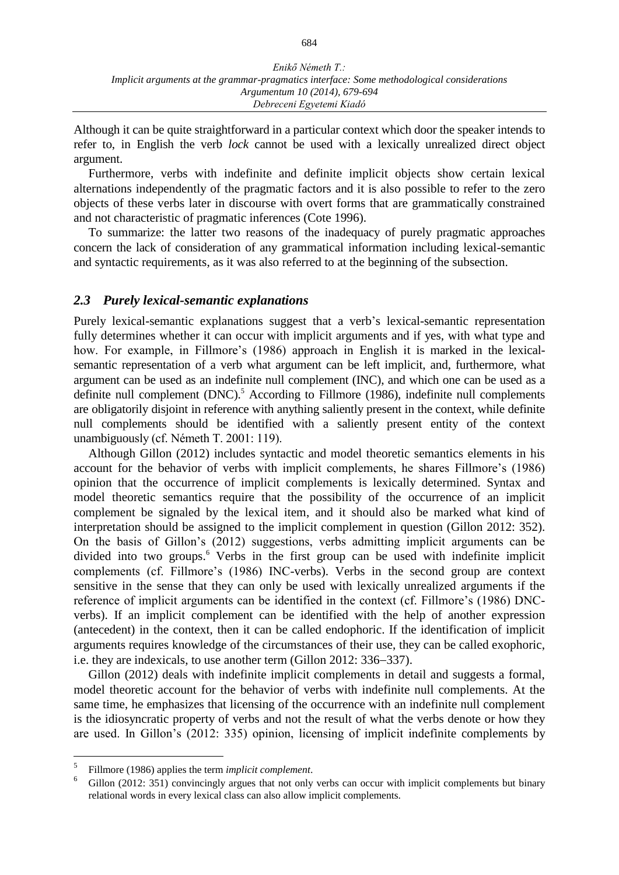Although it can be quite straightforward in a particular context which door the speaker intends to refer to, in English the verb *lock* cannot be used with a lexically unrealized direct object argument.

Furthermore, verbs with indefinite and definite implicit objects show certain lexical alternations independently of the pragmatic factors and it is also possible to refer to the zero objects of these verbs later in discourse with overt forms that are grammatically constrained and not characteristic of pragmatic inferences (Cote 1996).

To summarize: the latter two reasons of the inadequacy of purely pragmatic approaches concern the lack of consideration of any grammatical information including lexical-semantic and syntactic requirements, as it was also referred to at the beginning of the subsection.

#### *2.3 Purely lexical-semantic explanations*

Purely lexical-semantic explanations suggest that a verb's lexical-semantic representation fully determines whether it can occur with implicit arguments and if yes, with what type and how. For example, in Fillmore's (1986) approach in English it is marked in the lexicalsemantic representation of a verb what argument can be left implicit, and, furthermore, what argument can be used as an indefinite null complement (INC), and which one can be used as a definite null complement (DNC).<sup>5</sup> According to Fillmore (1986), indefinite null complements are obligatorily disjoint in reference with anything saliently present in the context, while definite null complements should be identified with a saliently present entity of the context unambiguously (cf. Németh T. 2001: 119).

Although Gillon (2012) includes syntactic and model theoretic semantics elements in his account for the behavior of verbs with implicit complements, he shares Fillmore's (1986) opinion that the occurrence of implicit complements is lexically determined. Syntax and model theoretic semantics require that the possibility of the occurrence of an implicit complement be signaled by the lexical item, and it should also be marked what kind of interpretation should be assigned to the implicit complement in question (Gillon 2012: 352). On the basis of Gillon's (2012) suggestions, verbs admitting implicit arguments can be divided into two groups.<sup>6</sup> Verbs in the first group can be used with indefinite implicit complements (cf. Fillmore's (1986) INC-verbs). Verbs in the second group are context sensitive in the sense that they can only be used with lexically unrealized arguments if the reference of implicit arguments can be identified in the context (cf. Fillmore's (1986) DNCverbs). If an implicit complement can be identified with the help of another expression (antecedent) in the context, then it can be called endophoric. If the identification of implicit arguments requires knowledge of the circumstances of their use, they can be called exophoric, i.e. they are indexicals, to use another term (Gillon 2012: 336–337).

Gillon (2012) deals with indefinite implicit complements in detail and suggests a formal, model theoretic account for the behavior of verbs with indefinite null complements. At the same time, he emphasizes that licensing of the occurrence with an indefinite null complement is the idiosyncratic property of verbs and not the result of what the verbs denote or how they are used. In Gillon's (2012: 335) opinion, licensing of implicit indefinite complements by

<sup>5</sup> Fillmore (1986) applies the term *implicit complement*.

 $6$  Gillon (2012: 351) convincingly argues that not only verbs can occur with implicit complements but binary relational words in every lexical class can also allow implicit complements.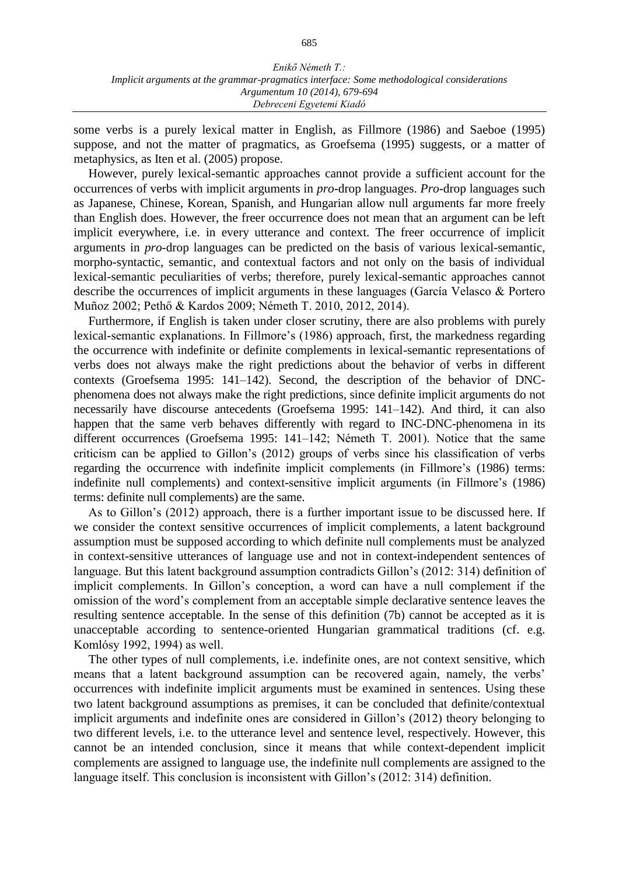some verbs is a purely lexical matter in English, as Fillmore (1986) and Saeboe (1995) suppose, and not the matter of pragmatics, as Groefsema (1995) suggests, or a matter of metaphysics, as Iten et al. (2005) propose.

However, purely lexical-semantic approaches cannot provide a sufficient account for the occurrences of verbs with implicit arguments in *pro*-drop languages. *Pro*-drop languages such as Japanese, Chinese, Korean, Spanish, and Hungarian allow null arguments far more freely than English does. However, the freer occurrence does not mean that an argument can be left implicit everywhere, i.e. in every utterance and context. The freer occurrence of implicit arguments in *pro*-drop languages can be predicted on the basis of various lexical-semantic, morpho-syntactic, semantic, and contextual factors and not only on the basis of individual lexical-semantic peculiarities of verbs; therefore, purely lexical-semantic approaches cannot describe the occurrences of implicit arguments in these languages (García Velasco & Portero Muñoz 2002; Pethő & Kardos 2009; Németh T. 2010, 2012, 2014).

Furthermore, if English is taken under closer scrutiny, there are also problems with purely lexical-semantic explanations. In Fillmore's (1986) approach, first, the markedness regarding the occurrence with indefinite or definite complements in lexical-semantic representations of verbs does not always make the right predictions about the behavior of verbs in different contexts (Groefsema 1995: 141–142). Second, the description of the behavior of DNCphenomena does not always make the right predictions, since definite implicit arguments do not necessarily have discourse antecedents (Groefsema 1995: 141–142). And third, it can also happen that the same verb behaves differently with regard to INC-DNC-phenomena in its different occurrences (Groefsema 1995: 141–142; Németh T. 2001). Notice that the same criticism can be applied to Gillon's (2012) groups of verbs since his classification of verbs regarding the occurrence with indefinite implicit complements (in Fillmore's (1986) terms: indefinite null complements) and context-sensitive implicit arguments (in Fillmore's (1986) terms: definite null complements) are the same.

As to Gillon's (2012) approach, there is a further important issue to be discussed here. If we consider the context sensitive occurrences of implicit complements, a latent background assumption must be supposed according to which definite null complements must be analyzed in context-sensitive utterances of language use and not in context-independent sentences of language. But this latent background assumption contradicts Gillon's (2012: 314) definition of implicit complements. In Gillon's conception, a word can have a null complement if the omission of the word's complement from an acceptable simple declarative sentence leaves the resulting sentence acceptable. In the sense of this definition (7b) cannot be accepted as it is unacceptable according to sentence-oriented Hungarian grammatical traditions (cf. e.g. Komlósy 1992, 1994) as well.

The other types of null complements, i.e. indefinite ones, are not context sensitive, which means that a latent background assumption can be recovered again, namely, the verbs' occurrences with indefinite implicit arguments must be examined in sentences. Using these two latent background assumptions as premises, it can be concluded that definite/contextual implicit arguments and indefinite ones are considered in Gillon's (2012) theory belonging to two different levels, i.e. to the utterance level and sentence level, respectively. However, this cannot be an intended conclusion, since it means that while context-dependent implicit complements are assigned to language use, the indefinite null complements are assigned to the language itself. This conclusion is inconsistent with Gillon's (2012: 314) definition.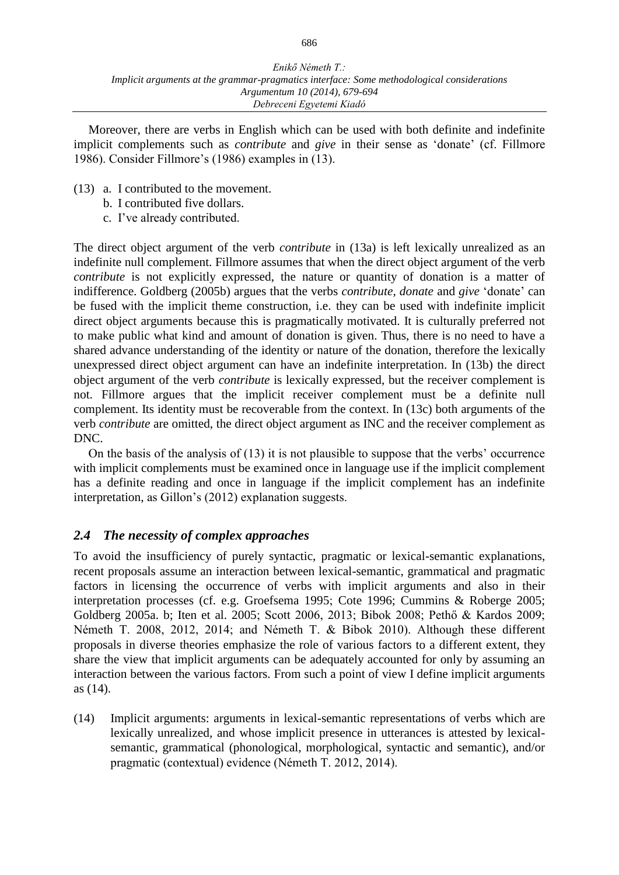Moreover, there are verbs in English which can be used with both definite and indefinite implicit complements such as *contribute* and *give* in their sense as 'donate' (cf. Fillmore 1986). Consider Fillmore's (1986) examples in (13).

- (13) a. I contributed to the movement.
	- b. I contributed five dollars.
	- c. I've already contributed.

The direct object argument of the verb *contribute* in (13a) is left lexically unrealized as an indefinite null complement. Fillmore assumes that when the direct object argument of the verb *contribute* is not explicitly expressed, the nature or quantity of donation is a matter of indifference. Goldberg (2005b) argues that the verbs *contribute, donate* and *give* 'donate' can be fused with the implicit theme construction, i.e. they can be used with indefinite implicit direct object arguments because this is pragmatically motivated. It is culturally preferred not to make public what kind and amount of donation is given. Thus, there is no need to have a shared advance understanding of the identity or nature of the donation, therefore the lexically unexpressed direct object argument can have an indefinite interpretation. In (13b) the direct object argument of the verb *contribute* is lexically expressed, but the receiver complement is not. Fillmore argues that the implicit receiver complement must be a definite null complement. Its identity must be recoverable from the context. In (13c) both arguments of the verb *contribute* are omitted, the direct object argument as INC and the receiver complement as DNC.

On the basis of the analysis of (13) it is not plausible to suppose that the verbs' occurrence with implicit complements must be examined once in language use if the implicit complement has a definite reading and once in language if the implicit complement has an indefinite interpretation, as Gillon's (2012) explanation suggests.

### *2.4 The necessity of complex approaches*

To avoid the insufficiency of purely syntactic, pragmatic or lexical-semantic explanations, recent proposals assume an interaction between lexical-semantic, grammatical and pragmatic factors in licensing the occurrence of verbs with implicit arguments and also in their interpretation processes (cf. e.g. Groefsema 1995; Cote 1996; Cummins & Roberge 2005; Goldberg 2005a. b; Iten et al. 2005; Scott 2006, 2013; Bibok 2008; Pethő & Kardos 2009; Németh T. 2008, 2012, 2014; and Németh T. & Bibok 2010). Although these different proposals in diverse theories emphasize the role of various factors to a different extent, they share the view that implicit arguments can be adequately accounted for only by assuming an interaction between the various factors. From such a point of view I define implicit arguments as (14).

(14) Implicit arguments: arguments in lexical-semantic representations of verbs which are lexically unrealized, and whose implicit presence in utterances is attested by lexicalsemantic, grammatical (phonological, morphological, syntactic and semantic), and/or pragmatic (contextual) evidence (Németh T. 2012, 2014).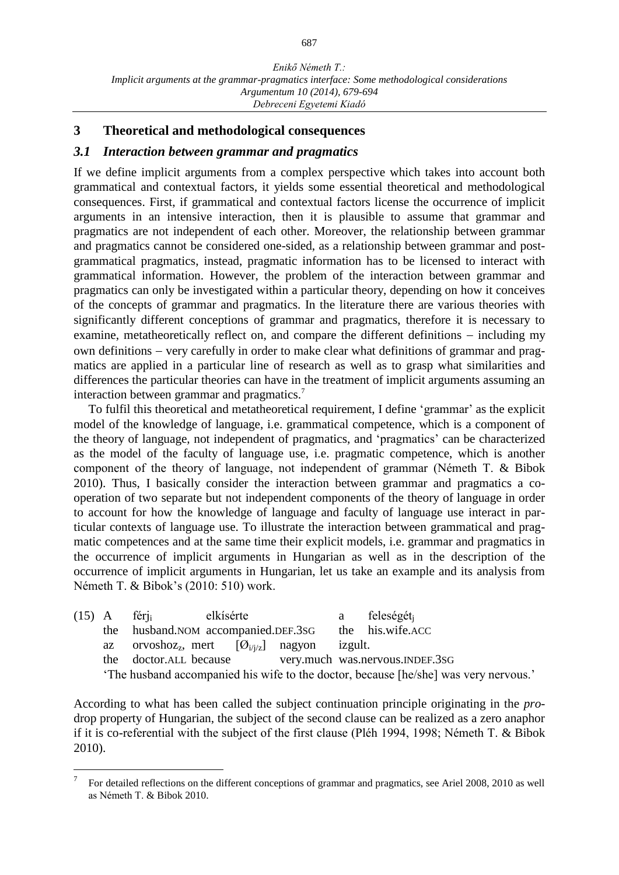### **3 Theoretical and methodological consequences**

#### *3.1 Interaction between grammar and pragmatics*

If we define implicit arguments from a complex perspective which takes into account both grammatical and contextual factors, it yields some essential theoretical and methodological consequences. First, if grammatical and contextual factors license the occurrence of implicit arguments in an intensive interaction, then it is plausible to assume that grammar and pragmatics are not independent of each other. Moreover, the relationship between grammar and pragmatics cannot be considered one-sided, as a relationship between grammar and postgrammatical pragmatics, instead, pragmatic information has to be licensed to interact with grammatical information. However, the problem of the interaction between grammar and pragmatics can only be investigated within a particular theory, depending on how it conceives of the concepts of grammar and pragmatics. In the literature there are various theories with significantly different conceptions of grammar and pragmatics, therefore it is necessary to examine, metatheoretically reflect on, and compare the different definitions  $-$  including my own definitions – very carefully in order to make clear what definitions of grammar and pragmatics are applied in a particular line of research as well as to grasp what similarities and differences the particular theories can have in the treatment of implicit arguments assuming an interaction between grammar and pragmatics.<sup>7</sup>

To fulfil this theoretical and metatheoretical requirement, I define 'grammar' as the explicit model of the knowledge of language, i.e. grammatical competence, which is a component of the theory of language, not independent of pragmatics, and 'pragmatics' can be characterized as the model of the faculty of language use, i.e. pragmatic competence, which is another component of the theory of language, not independent of grammar (Németh T. & Bibok 2010). Thus, I basically consider the interaction between grammar and pragmatics a cooperation of two separate but not independent components of the theory of language in order to account for how the knowledge of language and faculty of language use interact in particular contexts of language use. To illustrate the interaction between grammatical and pragmatic competences and at the same time their explicit models, i.e. grammar and pragmatics in the occurrence of implicit arguments in Hungarian as well as in the description of the occurrence of implicit arguments in Hungarian, let us take an example and its analysis from Németh T. & Bibok's (2010: 510) work.

|  |                                                                                      | $(15)$ A féri                                        | elkísérte |  |                | a feleségét <sub>i</sub>                               |
|--|--------------------------------------------------------------------------------------|------------------------------------------------------|-----------|--|----------------|--------------------------------------------------------|
|  |                                                                                      | the husband. NOM accompanied. DEF. 3SG               |           |  |                | the his.wife.ACC                                       |
|  |                                                                                      | az orvoshoz <sub>z</sub> , mert $[O_{i/i/z}]$ nagyon |           |  | <i>izgult.</i> |                                                        |
|  |                                                                                      |                                                      |           |  |                | the doctor.ALL because very.much was.nervous.INDEF.3sG |
|  | 'The husband accompanied his wife to the doctor, because [he/she] was very nervous.' |                                                      |           |  |                |                                                        |

According to what has been called the subject continuation principle originating in the *pro*drop property of Hungarian, the subject of the second clause can be realized as a zero anaphor if it is co-referential with the subject of the first clause (Pléh 1994, 1998; Németh T. & Bibok 2010).

<sup>7</sup> For detailed reflections on the different conceptions of grammar and pragmatics, see Ariel 2008, 2010 as well as Németh T. & Bibok 2010.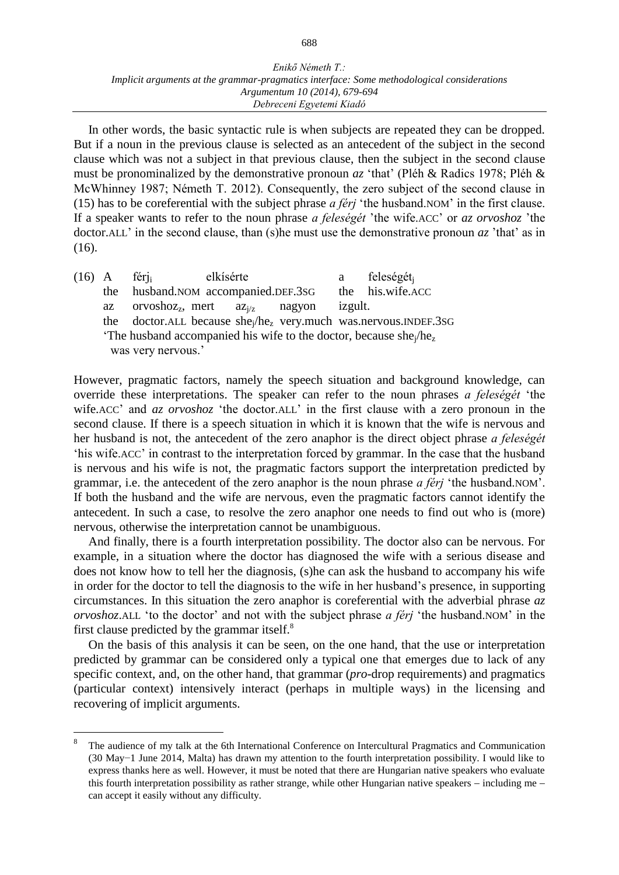In other words, the basic syntactic rule is when subjects are repeated they can be dropped. But if a noun in the previous clause is selected as an antecedent of the subject in the second clause which was not a subject in that previous clause, then the subject in the second clause must be pronominalized by the demonstrative pronoun *az* 'that' (Pléh & Radics 1978; Pléh & McWhinney 1987; Németh T. 2012). Consequently, the zero subject of the second clause in (15) has to be coreferential with the subject phrase *a férj* 'the husband.NOM' in the first clause. If a speaker wants to refer to the noun phrase *a feleségét* 'the wife.ACC' or *az orvoshoz* 'the doctor.ALL' in the second clause, than (s)he must use the demonstrative pronoun *az* 'that' as in (16).

(16) A férj<sub>i</sub> elkísérte a feleségét<sub>j</sub><br>the husband.NOM accompanied.DEF.3sG the his.wife.ACC the husband.NOM accompanied.DEF.3sG the az orvoshoz<sub>z</sub>, mert az<sub>i/z</sub> nagyon izgult. the doctor.ALL because shej/he<sup>z</sup> very.much was.nervous.INDEF.3SG 'The husband accompanied his wife to the doctor, because shej/he<sup>z</sup> was very nervous.'

However, pragmatic factors, namely the speech situation and background knowledge, can override these interpretations. The speaker can refer to the noun phrases *a feleségét* 'the wife.ACC' and *az orvoshoz* 'the doctor.ALL' in the first clause with a zero pronoun in the second clause. If there is a speech situation in which it is known that the wife is nervous and her husband is not, the antecedent of the zero anaphor is the direct object phrase *a feleségét* 'his wife.ACC' in contrast to the interpretation forced by grammar. In the case that the husband is nervous and his wife is not, the pragmatic factors support the interpretation predicted by grammar, i.e. the antecedent of the zero anaphor is the noun phrase *a férj* 'the husband.NOM'. If both the husband and the wife are nervous, even the pragmatic factors cannot identify the antecedent. In such a case, to resolve the zero anaphor one needs to find out who is (more) nervous, otherwise the interpretation cannot be unambiguous.

And finally, there is a fourth interpretation possibility. The doctor also can be nervous. For example, in a situation where the doctor has diagnosed the wife with a serious disease and does not know how to tell her the diagnosis, (s)he can ask the husband to accompany his wife in order for the doctor to tell the diagnosis to the wife in her husband's presence, in supporting circumstances. In this situation the zero anaphor is coreferential with the adverbial phrase *az orvoshoz*.ALL 'to the doctor' and not with the subject phrase *a férj* 'the husband.NOM' in the first clause predicted by the grammar itself. $8$ 

On the basis of this analysis it can be seen, on the one hand, that the use or interpretation predicted by grammar can be considered only a typical one that emerges due to lack of any specific context, and, on the other hand, that grammar (*pro*-drop requirements) and pragmatics (particular context) intensively interact (perhaps in multiple ways) in the licensing and recovering of implicit arguments.

<sup>8</sup> The audience of my talk at the 6th International Conference on Intercultural Pragmatics and Communication (30 May−1 June 2014, Malta) has drawn my attention to the fourth interpretation possibility. I would like to express thanks here as well. However, it must be noted that there are Hungarian native speakers who evaluate this fourth interpretation possibility as rather strange, while other Hungarian native speakers  $-$  including me  $$ can accept it easily without any difficulty.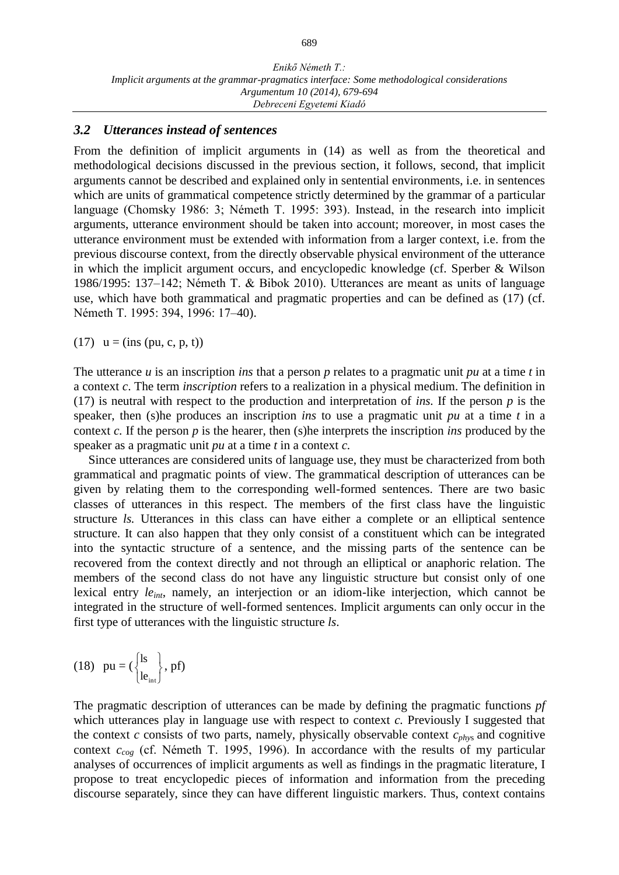#### *3.2 Utterances instead of sentences*

From the definition of implicit arguments in (14) as well as from the theoretical and methodological decisions discussed in the previous section, it follows, second, that implicit arguments cannot be described and explained only in sentential environments, i.e. in sentences which are units of grammatical competence strictly determined by the grammar of a particular language (Chomsky 1986: 3; Németh T. 1995: 393). Instead, in the research into implicit arguments, utterance environment should be taken into account; moreover, in most cases the utterance environment must be extended with information from a larger context, i.e. from the previous discourse context, from the directly observable physical environment of the utterance in which the implicit argument occurs, and encyclopedic knowledge (cf. Sperber & Wilson 1986/1995: 137‒142; Németh T. & Bibok 2010). Utterances are meant as units of language use, which have both grammatical and pragmatic properties and can be defined as (17) (cf. Németh T. 1995: 394, 1996: 17-40).

(17)  $u = (ins (pu, c, p, t))$ 

The utterance *u* is an inscription *ins* that a person *p* relates to a pragmatic unit *pu* at a time *t* in a context *c*. The term *inscription* refers to a realization in a physical medium. The definition in (17) is neutral with respect to the production and interpretation of *ins.* If the person *p* is the speaker, then (s)he produces an inscription *ins* to use a pragmatic unit *pu* at a time *t* in a context *c.* If the person *p* is the hearer, then (s)he interprets the inscription *ins* produced by the speaker as a pragmatic unit *pu* at a time *t* in a context *c.*

Since utterances are considered units of language use, they must be characterized from both grammatical and pragmatic points of view. The grammatical description of utterances can be given by relating them to the corresponding well-formed sentences. There are two basic classes of utterances in this respect. The members of the first class have the linguistic structure *ls.* Utterances in this class can have either a complete or an elliptical sentence structure. It can also happen that they only consist of a constituent which can be integrated into the syntactic structure of a sentence, and the missing parts of the sentence can be recovered from the context directly and not through an elliptical or anaphoric relation. The members of the second class do not have any linguistic structure but consist only of one lexical entry *leint*, namely, an interjection or an idiom-like interjection, which cannot be integrated in the structure of well-formed sentences. Implicit arguments can only occur in the first type of utterances with the linguistic structure *ls*.

$$
(18) \ \ pu = (\begin{cases} ls \\ le_{\text{int}} \end{cases}, \text{pf})
$$

The pragmatic description of utterances can be made by defining the pragmatic functions *pf*  which utterances play in language use with respect to context *c*. Previously I suggested that the context *c* consists of two parts, namely, physically observable context *cphy*s and cognitive context *ccog* (cf. Németh T. 1995, 1996). In accordance with the results of my particular analyses of occurrences of implicit arguments as well as findings in the pragmatic literature, I propose to treat encyclopedic pieces of information and information from the preceding discourse separately, since they can have different linguistic markers. Thus, context contains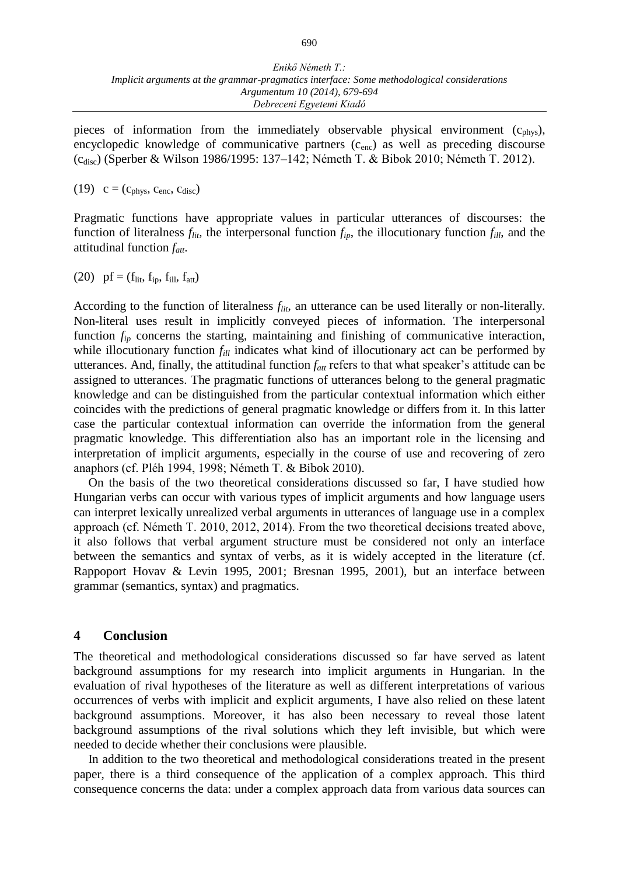pieces of information from the immediately observable physical environment  $(c_{phys})$ , encyclopedic knowledge of communicative partners  $(c_{enc})$  as well as preceding discourse (c<sub>disc</sub>) (Sperber & Wilson 1986/1995: 137–142; Németh T. & Bibok 2010; Németh T. 2012).

(19)  $c = (c_{\text{phys}}, c_{\text{enc}}, c_{\text{disc}})$ 

Pragmatic functions have appropriate values in particular utterances of discourses: the function of literalness  $f_{lit}$ , the interpersonal function  $f_{ip}$ , the illocutionary function  $f_{ill}$ , and the attitudinal function *fatt*.

(20) pf =  $(f_{\text{lit}}, f_{\text{ip}}, f_{\text{ill}}, f_{\text{att}})$ 

According to the function of literalness  $f_{lit}$ , an utterance can be used literally or non-literally. Non-literal uses result in implicitly conveyed pieces of information. The interpersonal function  $f_{ip}$  concerns the starting, maintaining and finishing of communicative interaction, while illocutionary function  $f_{ill}$  indicates what kind of illocutionary act can be performed by utterances. And, finally, the attitudinal function  $f_{\text{att}}$  refers to that what speaker's attitude can be assigned to utterances. The pragmatic functions of utterances belong to the general pragmatic knowledge and can be distinguished from the particular contextual information which either coincides with the predictions of general pragmatic knowledge or differs from it. In this latter case the particular contextual information can override the information from the general pragmatic knowledge. This differentiation also has an important role in the licensing and interpretation of implicit arguments, especially in the course of use and recovering of zero anaphors (cf. Pléh 1994, 1998; Németh T. & Bibok 2010).

On the basis of the two theoretical considerations discussed so far, I have studied how Hungarian verbs can occur with various types of implicit arguments and how language users can interpret lexically unrealized verbal arguments in utterances of language use in a complex approach (cf. Németh T. 2010, 2012, 2014). From the two theoretical decisions treated above, it also follows that verbal argument structure must be considered not only an interface between the semantics and syntax of verbs, as it is widely accepted in the literature (cf. Rappoport Hovav & Levin 1995, 2001; Bresnan 1995, 2001), but an interface between grammar (semantics, syntax) and pragmatics.

#### **4 Conclusion**

The theoretical and methodological considerations discussed so far have served as latent background assumptions for my research into implicit arguments in Hungarian. In the evaluation of rival hypotheses of the literature as well as different interpretations of various occurrences of verbs with implicit and explicit arguments, I have also relied on these latent background assumptions. Moreover, it has also been necessary to reveal those latent background assumptions of the rival solutions which they left invisible, but which were needed to decide whether their conclusions were plausible.

In addition to the two theoretical and methodological considerations treated in the present paper, there is a third consequence of the application of a complex approach. This third consequence concerns the data: under a complex approach data from various data sources can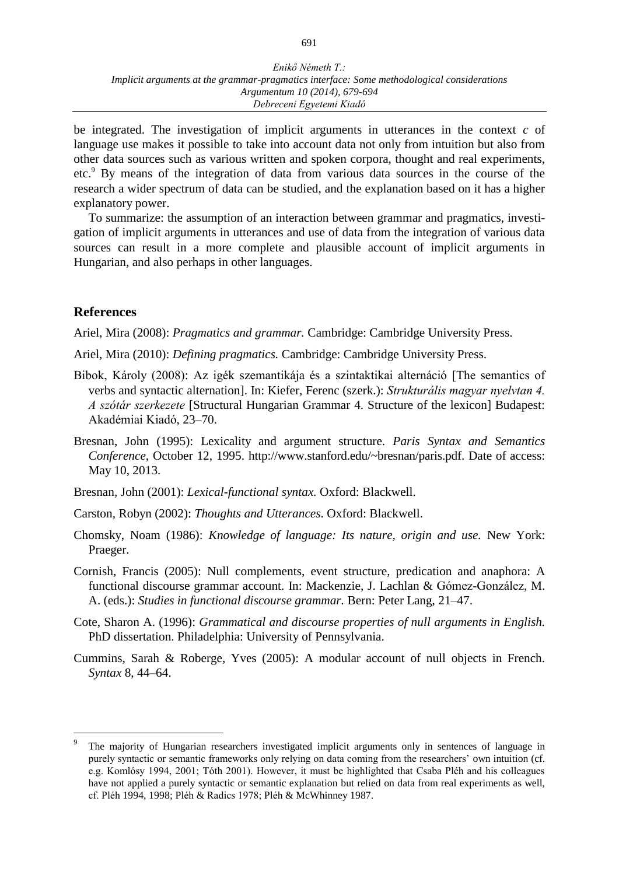be integrated. The investigation of implicit arguments in utterances in the context *c* of language use makes it possible to take into account data not only from intuition but also from other data sources such as various written and spoken corpora, thought and real experiments, etc.<sup>9</sup> By means of the integration of data from various data sources in the course of the research a wider spectrum of data can be studied, and the explanation based on it has a higher explanatory power.

To summarize: the assumption of an interaction between grammar and pragmatics, investigation of implicit arguments in utterances and use of data from the integration of various data sources can result in a more complete and plausible account of implicit arguments in Hungarian, and also perhaps in other languages.

### **References**

 $\overline{a}$ 

Ariel, Mira (2008): *Pragmatics and grammar.* Cambridge: Cambridge University Press.

Ariel, Mira (2010): *Defining pragmatics.* Cambridge: Cambridge University Press.

- Bibok, Károly (2008): Az igék szemantikája és a szintaktikai alternáció [The semantics of verbs and syntactic alternation]. In: Kiefer, Ferenc (szerk.): *Strukturális magyar nyelvtan 4. A szótár szerkezete* [Structural Hungarian Grammar 4. Structure of the lexicon] Budapest: Akadémiai Kiadó, 23‒70.
- Bresnan, John (1995): Lexicality and argument structure. *Paris Syntax and Semantics Conference,* October 12, 1995. http://www.stanford.edu/~bresnan/paris.pdf. Date of access: May 10, 2013.
- Bresnan, John (2001): *Lexical-functional syntax.* Oxford: Blackwell.
- Carston, Robyn (2002): *Thoughts and Utterances*. Oxford: Blackwell.
- Chomsky, Noam (1986): *Knowledge of language: Its nature, origin and use.* New York: Praeger.
- Cornish, Francis (2005): Null complements, event structure, predication and anaphora: A functional discourse grammar account. In: Mackenzie, J. Lachlan & Gómez-González, M. A. (eds.): *Studies in functional discourse grammar*. Bern: Peter Lang, 21–47.
- Cote, Sharon A. (1996): *Grammatical and discourse properties of null arguments in English.* PhD dissertation. Philadelphia: University of Pennsylvania.
- Cummins, Sarah & Roberge, Yves (2005): A modular account of null objects in French. *Syntax* 8, 44‒64.

<sup>9</sup> The majority of Hungarian researchers investigated implicit arguments only in sentences of language in purely syntactic or semantic frameworks only relying on data coming from the researchers' own intuition (cf. e.g. Komlósy 1994, 2001; Tóth 2001). However, it must be highlighted that Csaba Pléh and his colleagues have not applied a purely syntactic or semantic explanation but relied on data from real experiments as well, cf. Pléh 1994, 1998; Pléh & Radics 1978; Pléh & McWhinney 1987.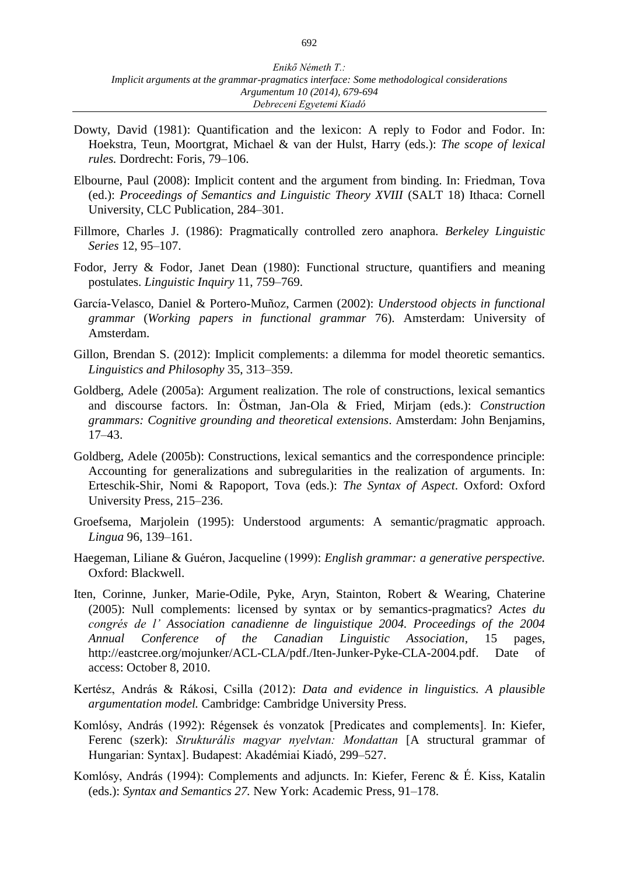- Dowty, David (1981): Quantification and the lexicon: A reply to Fodor and Fodor. In: Hoekstra, Teun, Moortgrat, Michael & van der Hulst, Harry (eds.): *The scope of lexical rules.* Dordrecht: Foris, 79-106.
- Elbourne, Paul (2008): Implicit content and the argument from binding. In: Friedman, Tova (ed.): *Proceedings of Semantics and Linguistic Theory XVIII* (SALT 18) Ithaca: Cornell University, CLC Publication, 284–301.
- Fillmore, Charles J. (1986): Pragmatically controlled zero anaphora. *Berkeley Linguistic Series* 12, 95-107.
- Fodor, Jerry & Fodor, Janet Dean (1980): Functional structure, quantifiers and meaning postulates. *Linguistic Inquiry* 11, 759-769.
- García-Velasco, Daniel & Portero-Muñoz, Carmen (2002): *Understood objects in functional grammar* (*Working papers in functional grammar* 76). Amsterdam: University of Amsterdam.
- Gillon, Brendan S. (2012): Implicit complements: a dilemma for model theoretic semantics. *Linguistics and Philosophy* 35, 313‒359.
- Goldberg, Adele (2005a): Argument realization. The role of constructions, lexical semantics and discourse factors. In: Östman, Jan-Ola & Fried, Mirjam (eds.): *Construction grammars: Cognitive grounding and theoretical extensions*. Amsterdam: John Benjamins,  $17 - 43$ .
- Goldberg, Adele (2005b): Constructions, lexical semantics and the correspondence principle: Accounting for generalizations and subregularities in the realization of arguments. In: Erteschik-Shir, Nomi & Rapoport, Tova (eds.): *The Syntax of Aspect*. Oxford: Oxford University Press, 215–236.
- Groefsema, Marjolein (1995): Understood arguments: A semantic/pragmatic approach. *Lingua* 96, 139‒161.
- Haegeman, Liliane & Guéron, Jacqueline (1999): *English grammar: a generative perspective.* Oxford: Blackwell.
- Iten, Corinne, Junker, Marie-Odile, Pyke, Aryn, Stainton, Robert & Wearing, Chaterine (2005): Null complements: licensed by syntax or by semantics-pragmatics? *Actes du congrés de l' Association canadienne de linguistique 2004. Proceedings of the 2004 Annual Conference of the Canadian Linguistic Association*, 15 pages, http://eastcree.org/mojunker/ACL-CLA/pdf./Iten-Junker-Pyke-CLA-2004.pdf. Date of access: October 8, 2010.
- Kertész, András & Rákosi, Csilla (2012): *Data and evidence in linguistics. A plausible argumentation model.* Cambridge: Cambridge University Press.
- Komlósy, András (1992): Régensek és vonzatok [Predicates and complements]. In: Kiefer, Ferenc (szerk): *Strukturális magyar nyelvtan: Mondattan* [A structural grammar of Hungarian: Syntax]. Budapest: Akadémiai Kiadó, 299–527.
- Komlósy, András (1994): Complements and adjuncts. In: Kiefer, Ferenc & É. Kiss, Katalin (eds.): *Syntax and Semantics 27.* New York: Academic Press, 91–178.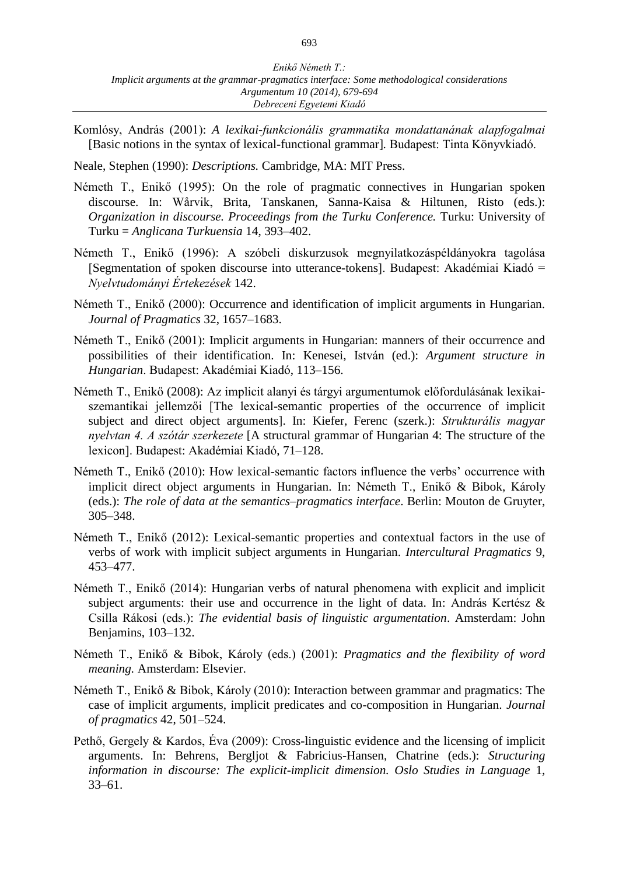Komlósy, András (2001): *A lexikai-funkcionális grammatika mondattanának alapfogalmai*  [Basic notions in the syntax of lexical-functional grammar]*.* Budapest: Tinta Könyvkiadó.

Neale, Stephen (1990): *Descriptions.* Cambridge, MA: MIT Press.

- Németh T., Enikő (1995): On the role of pragmatic connectives in Hungarian spoken discourse. In: Wårvik, Brita, Tanskanen, Sanna-Kaisa & Hiltunen, Risto (eds.): *Organization in discourse. Proceedings from the Turku Conference.* Turku: University of Turku = *Anglicana Turkuensia* 14, 393–402.
- Németh T., Enikő (1996): A szóbeli diskurzusok megnyilatkozáspéldányokra tagolása [Segmentation of spoken discourse into utterance-tokens]. Budapest: Akadémiai Kiadó = *Nyelvtudományi Értekezések* 142.
- Németh T., Enikő (2000): Occurrence and identification of implicit arguments in Hungarian. *Journal of Pragmatics* 32, 1657–1683.
- Németh T., Enikő (2001): Implicit arguments in Hungarian: manners of their occurrence and possibilities of their identification. In: Kenesei, István (ed.): *Argument structure in Hungarian*. Budapest: Akadémiai Kiadó, 113‒156.
- Németh T., Enikő (2008): Az implicit alanyi és tárgyi argumentumok előfordulásának lexikaiszemantikai jellemzői [The lexical-semantic properties of the occurrence of implicit subject and direct object arguments]. In: Kiefer, Ferenc (szerk.): *Strukturális magyar nyelvtan 4. A szótár szerkezete* [A structural grammar of Hungarian 4: The structure of the lexicon]. Budapest: Akadémiai Kiadó, 71-128.
- Németh T., Enikő (2010): How lexical-semantic factors influence the verbs' occurrence with implicit direct object arguments in Hungarian. In: Németh T., Enikő & Bibok, Károly (eds.): *The role of data at the semantics–pragmatics interface*. Berlin: Mouton de Gruyter, 305‒348.
- Németh T., Enikő (2012): Lexical-semantic properties and contextual factors in the use of verbs of work with implicit subject arguments in Hungarian. *Intercultural Pragmatics* 9, 453‒477.
- Németh T., Enikő (2014): Hungarian verbs of natural phenomena with explicit and implicit subject arguments: their use and occurrence in the light of data. In: András Kertész & Csilla Rákosi (eds.): *The evidential basis of linguistic argumentation*. Amsterdam: John Benjamins, 103–132.
- Németh T., Enikő & Bibok, Károly (eds.) (2001): *Pragmatics and the flexibility of word meaning.* Amsterdam: Elsevier.
- Németh T., Enikő & Bibok, Károly (2010): Interaction between grammar and pragmatics: The case of implicit arguments, implicit predicates and co-composition in Hungarian. *Journal of pragmatics* 42, 501‒524.
- Pethő, Gergely & Kardos, Éva (2009): Cross-linguistic evidence and the licensing of implicit arguments. In: Behrens, Bergljot & Fabricius-Hansen, Chatrine (eds.): *Structuring information in discourse: The explicit-implicit dimension. Oslo Studies in Language 1,*  $33 - 61$ .